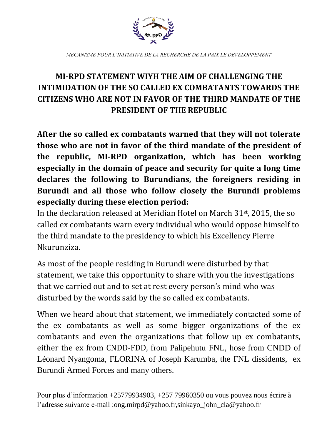

*MECANISME POUR L'INITIATIVE DE LA RECHERCHE DE LA PAIX LE DEVELOPPEMENT*

## **MI-RPD STATEMENT WIYH THE AIM OF CHALLENGING THE INTIMIDATION OF THE SO CALLED EX COMBATANTS TOWARDS THE CITIZENS WHO ARE NOT IN FAVOR OF THE THIRD MANDATE OF THE PRESIDENT OF THE REPUBLIC**

**After the so called ex combatants warned that they will not tolerate those who are not in favor of the third mandate of the president of the republic, MI-RPD organization, which has been working especially in the domain of peace and security for quite a long time declares the following to Burundians, the foreigners residing in Burundi and all those who follow closely the Burundi problems especially during these election period:**

In the declaration released at Meridian Hotel on March 31st, 2015, the so called ex combatants warn every individual who would oppose himself to the third mandate to the presidency to which his Excellency Pierre Nkurunziza.

As most of the people residing in Burundi were disturbed by that statement, we take this opportunity to share with you the investigations that we carried out and to set at rest every person's mind who was disturbed by the words said by the so called ex combatants.

When we heard about that statement, we immediately contacted some of the ex combatants as well as some bigger organizations of the ex combatants and even the organizations that follow up ex combatants, either the ex from CNDD-FDD, from Palipehutu FNL, hose from CNDD of Léonard Nyangoma, FLORINA of Joseph Karumba, the FNL dissidents, ex Burundi Armed Forces and many others.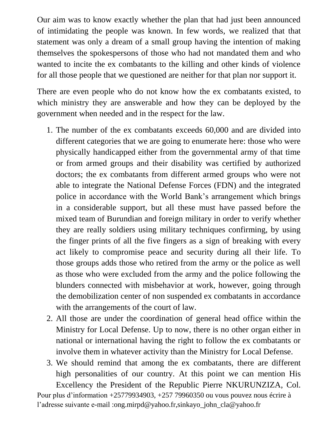Our aim was to know exactly whether the plan that had just been announced of intimidating the people was known. In few words, we realized that that statement was only a dream of a small group having the intention of making themselves the spokespersons of those who had not mandated them and who wanted to incite the ex combatants to the killing and other kinds of violence for all those people that we questioned are neither for that plan nor support it.

There are even people who do not know how the ex combatants existed, to which ministry they are answerable and how they can be deployed by the government when needed and in the respect for the law.

- 1. The number of the ex combatants exceeds 60,000 and are divided into different categories that we are going to enumerate here: those who were physically handicapped either from the governmental army of that time or from armed groups and their disability was certified by authorized doctors; the ex combatants from different armed groups who were not able to integrate the National Defense Forces (FDN) and the integrated police in accordance with the World Bank's arrangement which brings in a considerable support, but all these must have passed before the mixed team of Burundian and foreign military in order to verify whether they are really soldiers using military techniques confirming, by using the finger prints of all the five fingers as a sign of breaking with every act likely to compromise peace and security during all their life. To those groups adds those who retired from the army or the police as well as those who were excluded from the army and the police following the blunders connected with misbehavior at work, however, going through the demobilization center of non suspended ex combatants in accordance with the arrangements of the court of law.
- 2. All those are under the coordination of general head office within the Ministry for Local Defense. Up to now, there is no other organ either in national or international having the right to follow the ex combatants or involve them in whatever activity than the Ministry for Local Defense.
- 3. We should remind that among the ex combatants, there are different high personalities of our country. At this point we can mention His Excellency the President of the Republic Pierre NKURUNZIZA, Col.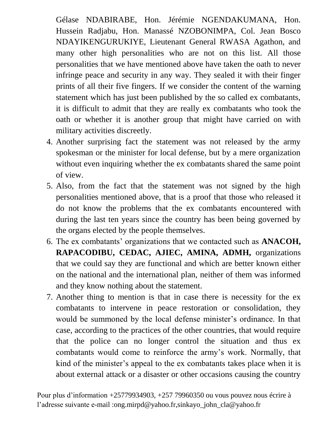Gélase NDABIRABE, Hon. Jérémie NGENDAKUMANA, Hon. Hussein Radjabu, Hon. Manassé NZOBONIMPA, Col. Jean Bosco NDAYIKENGURUKIYE, Lieutenant General RWASA Agathon, and many other high personalities who are not on this list. All those personalities that we have mentioned above have taken the oath to never infringe peace and security in any way. They sealed it with their finger prints of all their five fingers. If we consider the content of the warning statement which has just been published by the so called ex combatants, it is difficult to admit that they are really ex combatants who took the oath or whether it is another group that might have carried on with military activities discreetly.

- 4. Another surprising fact the statement was not released by the army spokesman or the minister for local defense, but by a mere organization without even inquiring whether the ex combatants shared the same point of view.
- 5. Also, from the fact that the statement was not signed by the high personalities mentioned above, that is a proof that those who released it do not know the problems that the ex combatants encountered with during the last ten years since the country has been being governed by the organs elected by the people themselves.
- 6. The ex combatants' organizations that we contacted such as **ANACOH, RAPACODIBU, CEDAC, AJIEC, AMINA, ADMH,** organizations that we could say they are functional and which are better known either on the national and the international plan, neither of them was informed and they know nothing about the statement.
- 7. Another thing to mention is that in case there is necessity for the ex combatants to intervene in peace restoration or consolidation, they would be summoned by the local defense minister's ordinance. In that case, according to the practices of the other countries, that would require that the police can no longer control the situation and thus ex combatants would come to reinforce the army's work. Normally, that kind of the minister's appeal to the ex combatants takes place when it is about external attack or a disaster or other occasions causing the country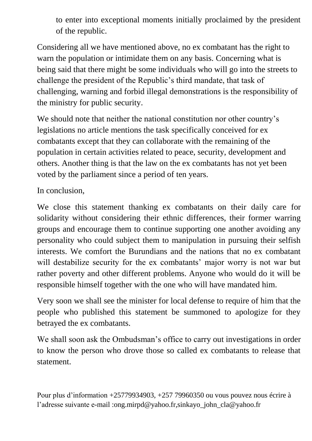to enter into exceptional moments initially proclaimed by the president of the republic.

Considering all we have mentioned above, no ex combatant has the right to warn the population or intimidate them on any basis. Concerning what is being said that there might be some individuals who will go into the streets to challenge the president of the Republic's third mandate, that task of challenging, warning and forbid illegal demonstrations is the responsibility of the ministry for public security.

We should note that neither the national constitution nor other country's legislations no article mentions the task specifically conceived for ex combatants except that they can collaborate with the remaining of the population in certain activities related to peace, security, development and others. Another thing is that the law on the ex combatants has not yet been voted by the parliament since a period of ten years.

In conclusion,

We close this statement thanking ex combatants on their daily care for solidarity without considering their ethnic differences, their former warring groups and encourage them to continue supporting one another avoiding any personality who could subject them to manipulation in pursuing their selfish interests. We comfort the Burundians and the nations that no ex combatant will destabilize security for the ex combatants' major worry is not war but rather poverty and other different problems. Anyone who would do it will be responsible himself together with the one who will have mandated him.

Very soon we shall see the minister for local defense to require of him that the people who published this statement be summoned to apologize for they betrayed the ex combatants.

We shall soon ask the Ombudsman's office to carry out investigations in order to know the person who drove those so called ex combatants to release that statement.